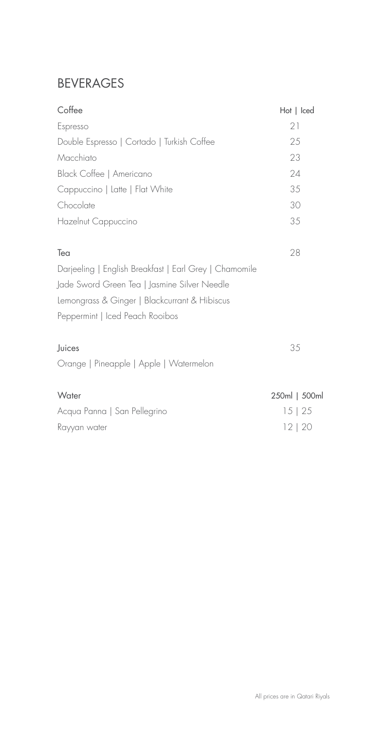### BEVERAGES

| Coffee                                                 | Hot   Iced    |
|--------------------------------------------------------|---------------|
| Espresso                                               | 21            |
| Double Espresso   Cortado   Turkish Coffee             | 25            |
| Macchiato                                              | 23            |
| Black Coffee   Americano                               | 24            |
| Cappuccino   Latte   Flat White                        | 35            |
| Chocolate                                              | 30            |
| Hazelnut Cappuccino                                    | 35            |
| Tea                                                    | 28            |
| Darjeeling   English Breakfast   Earl Grey   Chamomile |               |
| Jade Sword Green Tea   Jasmine Silver Needle           |               |
| Lemongrass & Ginger   Blackcurrant & Hibiscus          |               |
| Peppermint   Iced Peach Rooibos                        |               |
| Juices                                                 | 35            |
| Orange   Pineapple   Apple   Watermelon                |               |
| Water                                                  | 250ml   500ml |
| Acqua Panna   San Pellegrino                           | $15 \mid 25$  |
| Rayyan water                                           | 12 20         |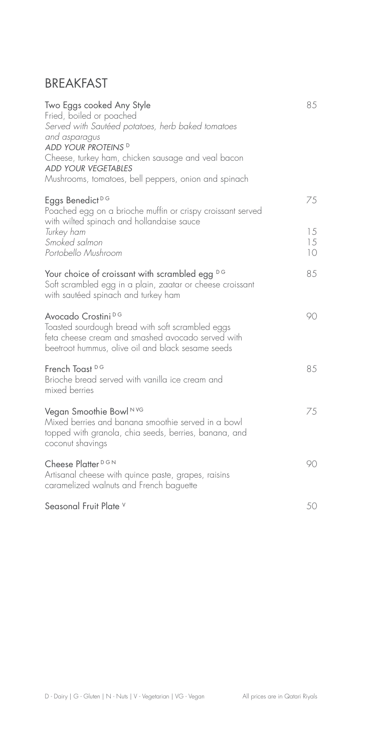#### **BREAKFAST**

| Two Eggs cooked Any Style<br>Fried, boiled or poached<br>Served with Sautéed potatoes, herb baked tomatoes<br>and asparagus<br>ADD YOUR PROTEINS <sup>D</sup><br>Cheese, turkey ham, chicken sausage and veal bacon<br><b>ADD YOUR VEGETABLES</b><br>Mushrooms, tomatoes, bell peppers, onion and spinach | 85                   |
|-----------------------------------------------------------------------------------------------------------------------------------------------------------------------------------------------------------------------------------------------------------------------------------------------------------|----------------------|
| Eggs Benedict <sup>DG</sup><br>Poached egg on a brioche muffin or crispy croissant served<br>with wilted spinach and hollandaise sauce<br>Turkey ham<br>Smoked salmon<br>Portobello Mushroom                                                                                                              | 75<br>15<br>15<br>10 |
| Your choice of croissant with scrambled egg DG<br>Soft scrambled egg in a plain, zaatar or cheese croissant<br>with sautéed spinach and turkey ham                                                                                                                                                        | 85                   |
| Avocado Crostini <sup>DG</sup><br>Toasted sourdough bread with soft scrambled eggs<br>feta cheese cream and smashed avocado served with<br>beetroot hummus, olive oil and black sesame seeds                                                                                                              | 90                   |
| French Toast <sup>DG</sup><br>Brioche bread served with vanilla ice cream and<br>mixed berries                                                                                                                                                                                                            | 85                   |
| Vegan Smoothie Bowl NVG<br>Mixed berries and banana smoothie served in a bowl<br>topped with granola, chia seeds, berries, banana, and<br>coconut shavings                                                                                                                                                | 75                   |
| Cheese Platter <sup>DGN</sup><br>Artisanal cheese with quince paste, grapes, raisins<br>caramelized walnuts and French baguette                                                                                                                                                                           | 90                   |
| Seasonal Fruit Plate V                                                                                                                                                                                                                                                                                    | 50                   |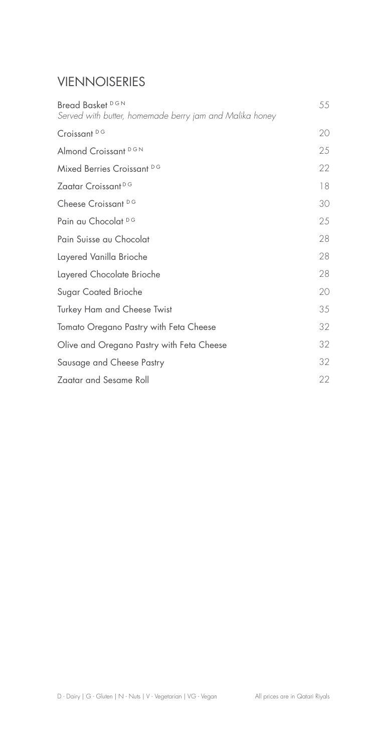## VIENNOISERIES

| Bread Basket DGN<br>Served with butter, homemade berry jam and Malika honey | 55 |
|-----------------------------------------------------------------------------|----|
| Croissant <sup>DG</sup>                                                     | 20 |
| Almond Croissant DGN                                                        | 25 |
| Mixed Berries Croissant DG                                                  | 22 |
| Zaatar Croissant <sup>DG</sup>                                              | 18 |
| Cheese Croissant DG                                                         | 30 |
| Pain au Chocolat DG                                                         | 25 |
| Pain Suisse au Chocolat                                                     | 28 |
| Layered Vanilla Brioche                                                     | 28 |
| Layered Chocolate Brioche                                                   | 28 |
| Sugar Coated Brioche                                                        | 20 |
| <b>Turkey Ham and Cheese Twist</b>                                          | 35 |
| Tomato Oregano Pastry with Feta Cheese                                      | 32 |
| Olive and Oregano Pastry with Feta Cheese                                   | 32 |
| Sausage and Cheese Pastry                                                   | 32 |
| Zaatar and Sesame Roll                                                      | 22 |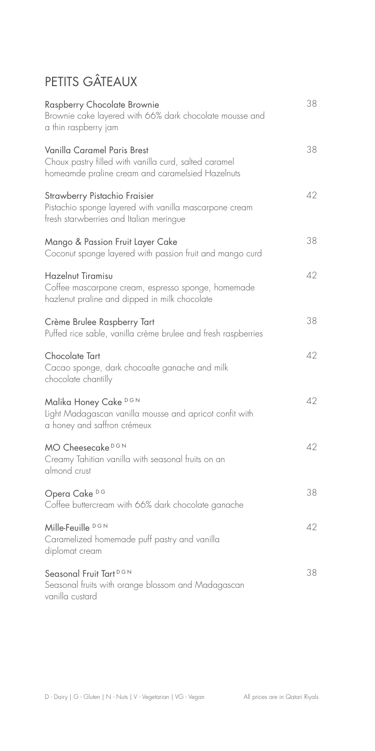# PETITS GÂTEAUX

| Raspberry Chocolate Brownie<br>Brownie cake layered with 66% dark chocolate mousse and<br>a thin raspberry jam                           | 38 |
|------------------------------------------------------------------------------------------------------------------------------------------|----|
| Vanilla Caramel Paris Brest<br>Choux pastry filled with vanilla curd, salted caramel<br>homeamde praline cream and caramelsied Hazelnuts | 38 |
| Strawberry Pistachio Fraisier<br>Pistachio sponge layered with vanilla mascarpone cream<br>fresh starwberries and Italian meringue       | 42 |
| Mango & Passion Fruit Layer Cake<br>Coconut sponge layered with passion fruit and mango curd                                             | 38 |
| Hazelnut Tiramisu<br>Coffee mascarpone cream, espresso sponge, homemade<br>hazlenut praline and dipped in milk chocolate                 | 42 |
| Crème Brulee Raspberry Tart<br>Puffed rice sable, vanilla crème brulee and fresh raspberries                                             | 38 |
| Chocolate Tart<br>Cacao sponge, dark chocoalte ganache and milk<br>chocolate chantilly                                                   | 42 |
| Malika Honey Cake DGN<br>Light Madagascan vanilla mousse and apricot confit with<br>a honey and saffron crémeux                          | 42 |
| MO Cheesecake <sup>DGN</sup><br>Creamy Tahitian vanilla with seasonal fruits on an<br>almond crust                                       | 42 |
| Opera Cake DG<br>Coffee buttercream with 66% dark chocolate ganache                                                                      | 38 |
| Mille-Feuille DGN<br>Caramelized homemade puff pastry and vanilla<br>diplomat cream                                                      | 42 |
| Seasonal Fruit Tart <sup>DGN</sup><br>Seasonal fruits with orange blossom and Madagascan<br>vanilla custard                              | 38 |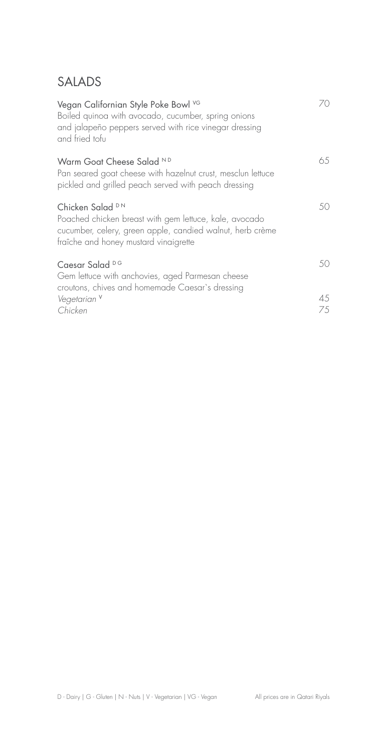#### SALADS

| Vegan Californian Style Poke Bowl VG<br>Boiled quinoa with avocado, cucumber, spring onions<br>and jalapeño peppers served with rice vinegar dressing<br>and fried tofu                     | 7Ο       |
|---------------------------------------------------------------------------------------------------------------------------------------------------------------------------------------------|----------|
| Warm Goat Cheese Salad ND<br>Pan seared goat cheese with hazelnut crust, mesclun lettuce<br>pickled and grilled peach served with peach dressing                                            | 65       |
| Chicken Salad <sup>DN</sup><br>Poached chicken breast with gem lettuce, kale, avocado<br>cucumber, celery, green apple, candied walnut, herb crème<br>fraîche and honey mustard vinaigrette | 50.      |
| Caesar Salad <sup>DG</sup><br>Gem lettuce with anchovies, aged Parmesan cheese<br>croutons, chives and homemade Caesar's dressing                                                           | 50       |
| Vegetarian <sup>V</sup><br>Chicken                                                                                                                                                          | 45<br>75 |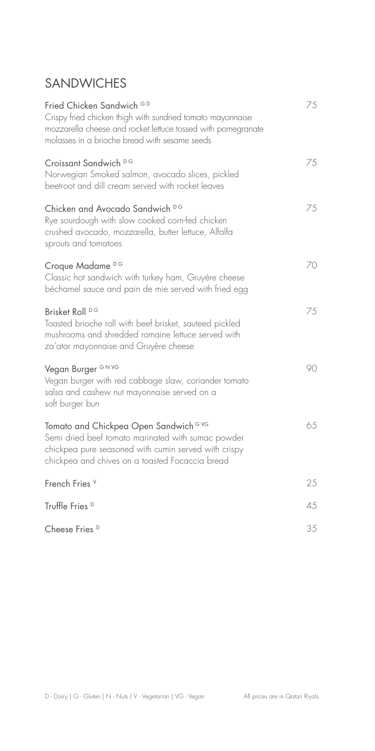### **SANDWICHES**

| Fried Chicken Sandwich GD<br>Crispy fried chicken thigh with sundried tomato mayonnaise<br>mozzarella cheese and rocket lettuce tossed with pomegranate<br>molasses in a brioche bread with sesame seeds | 75 |
|----------------------------------------------------------------------------------------------------------------------------------------------------------------------------------------------------------|----|
| Croissant Sandwich DG<br>Norwegian Smoked salmon, avocado slices, pickled<br>beetroot and dill cream served with rocket leaves                                                                           | 75 |
| Chicken and Avocado Sandwich DG<br>Rye sourdough with slow cooked corn-fed chicken<br>crushed avocado, mozzarella, butter lettuce, Alfalfa<br>sprouts and tomatoes                                       | 75 |
| Croque Madame DG<br>Classic hot sandwich with turkey ham, Gruyère cheese<br>béchamel sauce and pain de mie served with fried egg                                                                         | 70 |
| Brisket Roll <sup>DG</sup><br>Toasted brioche roll with beef brisket, sauteed pickled<br>mushrooms and shredded romaine lettuce served with<br>za'atar mayonnaise and Gruyère cheese                     | 75 |
| Vegan Burger GNVG<br>Vegan burger with red cabbage slaw, coriander tomato<br>salsa and cashew nut mayonnaise served on a<br>soft burger bun                                                              | 90 |
| Tomato and Chickpea Open Sandwich G VG<br>Semi dried beef tomato marinated with sumac powder<br>chickpea pure seasoned with cumin served with crispy<br>chickpea and chives on a toasted Focaccia bread  | 65 |
| French Fries <sup>V</sup>                                                                                                                                                                                | 25 |
| Truffle Fries <sup>D</sup>                                                                                                                                                                               | 45 |
| Cheese Fries <sup>D</sup>                                                                                                                                                                                | 35 |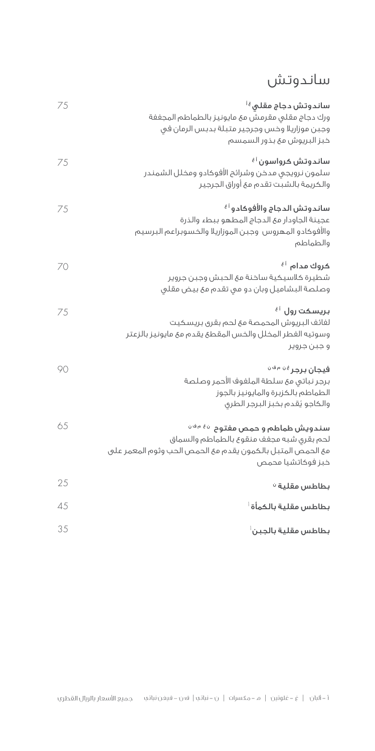## ساندوتش

| ساندوتش دجاج مقلی <sup>¿ ا</sup><br>ورك دجاج مقلى مقرمش مع مايونيز بالطماطم المجففة<br>وجبن موزاريلا وخس وجرجير متبلة بدبس الرمان في<br>خبز البريوش مع بذور السمسم | 75 |
|--------------------------------------------------------------------------------------------------------------------------------------------------------------------|----|
| ساندوتش کرواسون <sup>آغ</sup><br>سلمون نرويجي مدخن وشرائح الأفوكادو ومخلل الشمندر<br>والكريمة بالشبت تقدم مئ أوراق الجرجير                                         | 75 |
| ساندوتش الدجاج والأفوكادو <sup>أغ</sup><br>عجينة الجاودار مئ الدجاج المطهو ببطء والذرة<br>والأفوكادو المهروس وجبن الموزاريلا والخسوبراعم البرسيم<br>والطماطم       | 75 |
| كروك مدام <sup>أغ</sup><br>شطيرة كالسيكية ساخنة مع الحبش وجبن جروير<br>وصلصة البشاميل وبان دو مي تقدم مع بيض مقلي                                                  | 70 |
| بريسكت رول <sup>نغ</sup><br>لفائف البريوش المحمصة مع لحم بقرق بريسكيت<br>وسوتيه الفطر المخلل والخس المقطع يقدم مع مايونيز بالزعتر<br>و جبن جروير                   | 75 |
| فيجان برجر <sup>غن مفن</sup><br>برجر نباتى مع سلطة الملفوف الأحمر وصلصة<br>الطماطم بالكزبرة والمايونيز بالجوز<br>والكاجو يُقدم بخبز البرجر الطري                   | 90 |
| سندويش طماطم و حمص مفتوح مفشف<br>لحم بقرى شبه مجفف منقوع بالطماطم والسماق<br>مع الحمص المتبل بالكمون يقدم مع الحمص الحب وثوم المعمر على<br>خبز فوكاتشيا محمص       | 65 |
| بطاطس مقلية <sup>ن</sup>                                                                                                                                           | 25 |
| بطاطس مقلية بالكمأة أ                                                                                                                                              | 45 |
| بطاطس مقلية بالجبن أ                                                                                                                                               | 35 |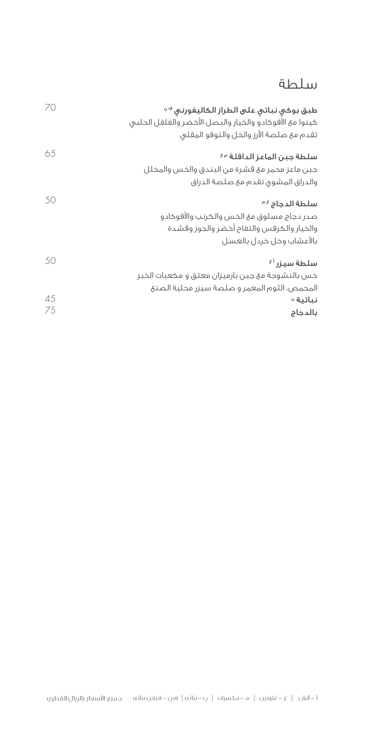#### سلطة

| 70 | طبق بوكي نباتي على الطراز الكاليفورنى <sup>فن</sup><br>كينوا مع الأفوكادو والخيار والبصل الأخضر والفلفل الحلبى<br>تقدم مع صلصة الأرز والخل والتوفو المقلى |
|----|-----------------------------------------------------------------------------------------------------------------------------------------------------------|
| 65 | سلطة جبن الماعز الدافئة <sup>مغ</sup><br>جبن ماعز محمر مع قشرة من البندق والخس والمخلل                                                                    |
|    | والدراق المشوي تقدم مئ صلصة الدراق                                                                                                                        |
| 50 | سلطة الدجاج فع<br>صدر دجاج مسلوق مع الخس والكرنب والأفوكادو<br>والخيار والكرفس والتفاح أخضر والجوز وقشدة<br>بالأعشاب وخل خردل بالعسل                      |
| 50 | سلطة سيزر <sup>أغ</sup><br>خس بالنشوجة مع جبن بارميزان معتق و مكعبات الخبز<br>المحمص، الثوم المعمر و صلصة سيزر محلية الصنع                                |
| 45 | نباتية ف                                                                                                                                                  |
| 75 | بالدجاج                                                                                                                                                   |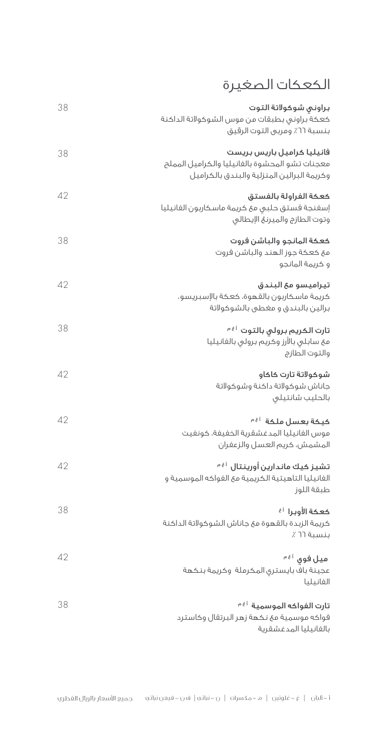# الكعكات الصغيرة

| براوني شوكولاتة التوت<br>كعكة براوني بطبقات من موس الشوكولاتة الداكنة<br>بنسبة ٢٦٪ ومربى التوت الرقيق                      | 38 |
|----------------------------------------------------------------------------------------------------------------------------|----|
| فانيليا كراميل باريس بريست<br>معجنات تشو المحشوة بالفانيليا والكراميل المملح<br>وكريمة البرالين المنزلية والبندق بالكراميل | 38 |
| كعكة الفراولة بالفستق<br>إسفنجة فستق حلبى مئ كريمة ماسكاربون الفانيليا<br>وتوت الطازج والميرنغ الإيطالي                    | 42 |
| كعكة المانجو والباشن فروت<br>مع كعكة جوز الهند والباشن فروت<br>و كريمة المانجو                                             | 38 |
| تيراميسو مع البندق<br>كريمة ماسكاربون بالقهوة، كعكة بالإسبريسو،<br>برالين بالبندق و مغطى بالشوكولاتة                       | 42 |
| تارت الكريم برولى بالتوت <sup>أغم</sup><br>مئ سابلى بالأرز وكريم برولى بالفانيليا<br>والتوت الطازج                         | 38 |
| شوكولاتة تارت كاكاو<br>جاناش شوكولاتة داكنة وشوكولاتة<br>بالحليب شانتيلى                                                   | 42 |
| كيكة بعسل ملكة <sup>أغم</sup><br>موس الفانيليا المدغشقرية الخفيفة، كونفيت<br>المشمش، كريم العسل والزعفران                  | 42 |
| تشيز كيك ماندارين أورينتال <sup>نغم</sup><br>الفانيليا التاهيتية الكريمية مع الفواكه الموسمية و<br>طبقة اللوز              | 42 |
| كعكة الأوبرا أف<br>كريمة الزبدة بالقهوة مع جاناش الشوكولاتة الداكنة<br>بنسبة ٦٦٪                                           | 38 |
| ميل فوق <sup>ني</sup> ْ<br>عجينة باف بايسترق المكرملة وكريمة بنكهة<br>الفانيليا                                            | 42 |
| تارت الفواكه الموسمية أ <sup>غم</sup><br>فواكه موسمية مئ نكهة زهر البرتقال وكاسترد<br>بالفانيليا المدغشقرية                | 38 |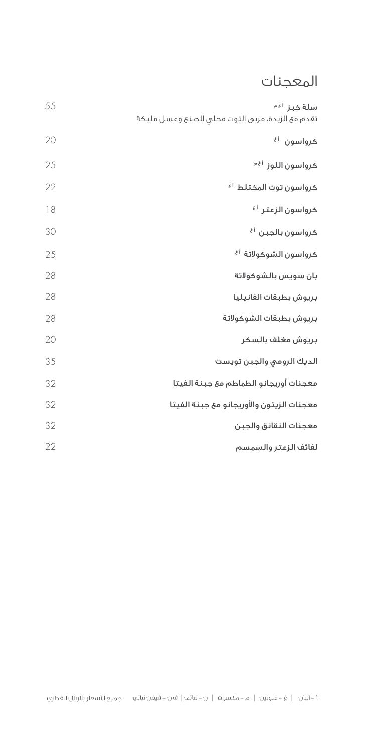## المعجنات

| سلة خبز <sup>أغ</sup> َّ<br>تقدم مع الزبدة، مربى التوت محلى الصنع وعسل مليكة | 55 |
|------------------------------------------------------------------------------|----|
| έĺ<br>كرواسون                                                                | 20 |
| كرواسون اللوز <sup>أغم</sup>                                                 | 25 |
| كرواسون توت المختلط <sup>أغ</sup>                                            | 22 |
| كرواسون الزعتر <sup>اغ</sup>                                                 | 18 |
| كرواسون بالجبن <sup>أغ</sup>                                                 | 30 |
| كرواسون الشوكولاتة <sup>أغ</sup>                                             | 25 |
| بان سويس بالشوكولاتة                                                         | 28 |
| بريوش بطبقات الفانيليا                                                       | 28 |
| بريوش بطبقات الشوكولاتة                                                      | 28 |
| بريوش مغلف بالسكر                                                            | 20 |
| الديك الرومى والجبن تويست                                                    | 35 |
| معجنات أوريجانو الطماطم مع جبنة الفيتا                                       | 32 |
| معجنات الزيتون والأوريجانو مع جبنة الفيتا                                    | 32 |
| معجنات النقانق والجبن                                                        | 32 |
| لفائف الزعتر والسمسم                                                         | 22 |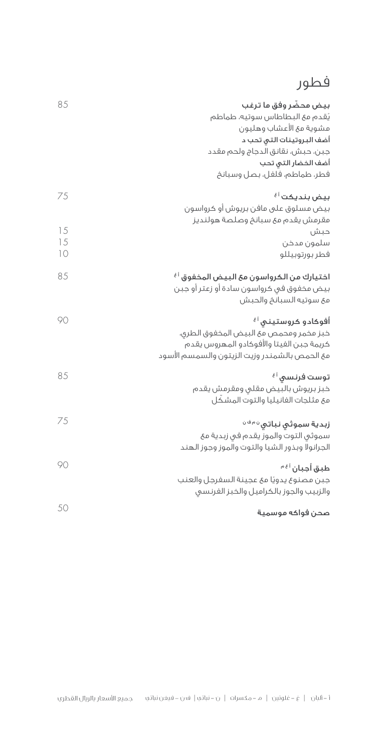# فطور

| بيض محضّر وفق ما ترغب<br>يُقدم مع البطاطاس سوتيه، طماطم<br>مشوية مع الأعشاب وهليون<br>أضف البروتينات التى تحب د<br>جبن، حبش، نقانق الدجاج ولحم مقدد<br>أضف الخضار التي تحب<br>فطر، طماطم، فلفل، بصل وسبانخ | 85       |
|------------------------------------------------------------------------------------------------------------------------------------------------------------------------------------------------------------|----------|
| بيض بنديكت <sup>أ غ</sup>                                                                                                                                                                                  | 75       |
| بيض مسلوق على مافن بريوش أو كرواسون<br>مقرمش يقدم مئ سبانخ وصلصة هولنديز<br>حبش                                                                                                                            | 15       |
| سلمون مدخن<br>فطر بورتوبيللو                                                                                                                                                                               | 15<br>10 |
| اختيارك من الكرواسون مع البيض المخفوق <sup>ا غ</sup><br>بيض مخفوق في كرواسون سادة أو زعتر أو جبن<br>مع سوتيه السبانخ والحبش                                                                                | 85       |
| أفوكادو كروستينى <sup>آ غ</sup><br>خبز مخمر ومحمص مع البيض المخفوق الطرق،<br>كريمة جبن الفيتا والأفوكادو المهروس يقدم<br>مع الحمص بالشمندر وزيت الزيتون والسمسم الأسود                                     | 90       |
| توست فرنسی <sup>ا غ</sup><br>خبز بريوش بالبيض مقلي ومقرمش يقدم<br>مع مثلجات الفانيليا والتوت المشكّل                                                                                                       | 85       |
| زبدية سموثي نباتي <sup>ن مفن</sup><br>سموثي التوت والموز يقدم في زبدية مئ<br>الجرانولا وبذور الشيا والتوت والموز وجوز الهند                                                                                | 75       |
| طبق أجبان <sup>أغ</sup> َّ<br>جبن مصنوع يدويًا مع عجينة السفرجل والعنب<br>والزبيب والجوز بالكراميل والخبز الفرنسي                                                                                          | 90       |
| صحن فواكه موسمية                                                                                                                                                                                           | 50       |